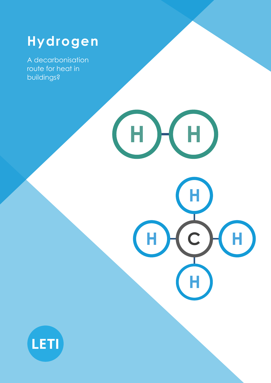# **Hydrogen**

**H H**

**H C**

**H**

**H**

**H**

A decarbonisation route for heat in buildings?

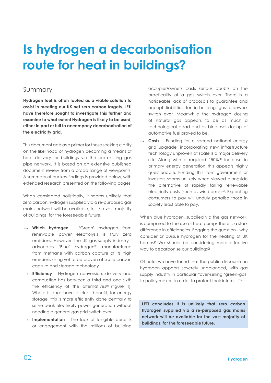# **Is hydrogen a decarbonisation route for heat in buildings?**

#### Summary

**Hydrogen fuel is often touted as a viable solution to assist in meeting our UK net zero carbon targets. LETI have therefore sought to investigate this further and examine to what extent Hydrogen is likely to be used, either in part or full to accompany decarbonisation of the electricity grid.**

This document acts as a primer for those seeking clarity on the likelihood of hydrogen becoming a means of heat delivery for buildings via the pre-existing gas pipe network. It is based on an extensive published document review from a broad range of viewpoints. A summary of our key findings is provided below, with extended research presented on the following pages.

When considered holistically, it seems unlikely that zero carbon hydrogen supplied via a re-purposed gas mains network will be available, for the vast majority of buildings, for the foreseeable future.

- **→ Which hydrogen**  'Green' hydrogen from renewable power electrolysis is truly zero emissions. However, the UK gas supply industry<sup>[1]</sup> advocates 'Blue' hydrogen<sup>[2]</sup> manufactured from methane with carbon capture of its high emissions using yet to be proven at scale carbon capture and storage technology.
- **→ Efficiency**  Hydrogen conversion, delivery and combustion has between a third and one sixth the efficiency of the alternatives<sup>[3]</sup> (figure 1). Where it does have a clear benefit, for energy storage, this is more efficiently done centrally to serve peak electricity power generation without needing a general gas grid switch over.
- **Implementation** The lack of tangible benefits or engagement with the millions of building

occupier/owners casts serious doubts on the practicality of a gas switch over. There is a noticeable lack of proposals to guarantee and accept liabilities for in-building gas pipework switch over. Meanwhile the hydrogen dosing of natural gas appears to be as much a technological dead-end as biodiesel dosing of automotive fuel proved to be.

**Costs** – Funding for a second national energy grid upgrade, incorporating new infrastructure technology unproven at scale is a major delivery risk. Along with a required 150%[4] increase in primary energy generation this appears highly questionable. Funding this from government or investors seems unlikely when viewed alongside the alternative of rapidly falling renewable electricity costs (such as windfarms)<sup>[5]</sup>. Expecting consumers to pay will unduly penalise those in society least able to pay.

When blue hydrogen, supplied via the gas network, is compared to the use of heat pumps there is a stark difference in efficiencies. Begging the question - why consider or pursue hydrogen for the heating of UK homes? We should be considering more effective way to decarbonise our buildings?

Of note, we have found that the public discourse on hydrogen appears severely unbalanced, with gas supply industry in particular "over-selling 'green-gas' to policy makers in order to protect their interests"[6].

**LETI concludes it is unlikely that zero carbon hydrogen supplied via a re-purposed gas mains network will be available for the vast majority of buildings, for the foreseeable future.**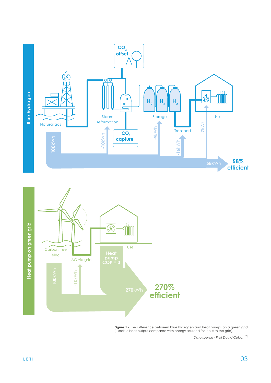



**Figure 1 -** The difference between blue hydrogen and heat pumps on a green grid (useable heat output compared with energy sourced for input to the grid).

*Data source - Prof David Cebon*[7]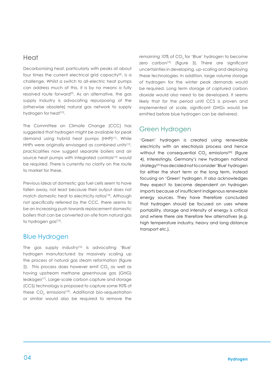## Heat

Decarbonising heat, particularly with peaks at about four times the current electrical grid capacity<sup>[8]</sup>, is a challenge. Whilst a switch to all-electric heat pumps can address much of this, it is by no means a fully resolved route forward<sup>[9]</sup>. As an alternative, the gas supply industry is advocating repurposing of the (otherwise obsolete) natural gas network to supply hydrogen for heat<sup>[10]</sup>.

The Committee on Climate Change (CCC) has suggested that hydrogen might be available for peak demand using hybrid heat pumps (HHP)[11]. While HHPs were originally envisaged as combined units<sup>[12]</sup>, practicalities now suggest separate boilers and air source heat pumps with integrated controls<sup>[13]</sup> would be required. There is currently no clarity on the route to market for these.

Previous ideas of domestic gas fuel cells seem to have fallen away, not least because their output does not match domestic heat to electricity ratios<sup>[14]</sup>. Although not specifically referred by the CCC, there seems to be an increasing push towards replacement domestic boilers that can be converted on-site from natural gas to hydrogen gas[15].

## Blue Hydrogen

The gas supply industry<sup>[16]</sup> is advocating 'Blue' hydrogen manufactured by massively scaling up the process of natural gas steam reformation (figure 2). This process does however emit CO $_2$  as well as having upstream methane greenhouse gas (GHG) leakages[17]. Large-scale carbon capture and storage (CCS) technology is proposed to capture some 90% of these  $\mathsf{CO}_2$  emissions<sup>[18]</sup>. Additional bio-sequestration or similar would also be required to remove the

remaining 10% of CO<sub>2</sub> for 'Blue' hydrogen to become zero carbon $[19]$  (figure 3). There are significant uncertainties in developing, up-scaling and deploying these technologies. In addition, large volume storage of hydrogen for the winter peak demands would be required. Long term storage of captured carbon dioxide would also need to be developed. It seems likely that for the period until CCS is proven and implemented at scale, significant GHGs would be emitted before blue hydrogen can be delivered.

## Green Hydrogen

'Green' hydrogen is created using renewable electricity with an electrolysis process and hence without the consequential CO $_2$  emissions<sup>[20]</sup> (figure 4). Interestingly, Germany's new hydrogen national strategy<sup>[21]</sup> has decided not to consider 'Blue' hydrogen for either the short term or the long term, instead focusing on 'Green' hydrogen. It also acknowledges they expect to become dependent on hydrogen imports because of insufficient indigenous renewable energy sources. They have therefore concluded that hydrogen should be focused on uses where portability, storage and intensity of energy is critical and where there are therefore few alternatives (e.g. high temperature industry, heavy and long distance transport etc.).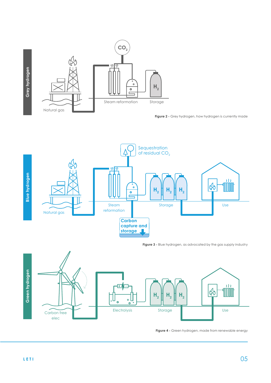

**Figure 2 -** Grey hydrogen, how hydrogen is currently made



**Figure 3 -** Blue hydrogen, as advocated by the gas supply industry



**Figure 4 -** Green hydrogen, made from renewable energy

**Grey hydrogen**

Grey hydrogen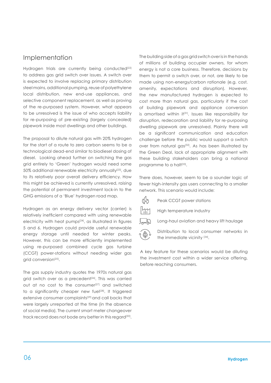## Implementation

Hydrogen trials are currently being conducted<sup>[22]</sup> to address gas grid switch over issues. A switch over is expected to involve replacing primary distribution steel mains, additional pumping, reuse of polyethylene local distribution, new end-use appliances, and selective component replacement, as well as proving of the re-purposed system. However, what appears to be unresolved is the issue of who accepts liability for re-purposing of pre-existing (largely concealed) pipework inside most dwellings and other buildings.

The proposal to dilute natural gas with 20% hydrogen for the start of a route to zero carbon seems to be a technological dead-end similar to biodiesel dosing of diesel. Looking ahead further on switching the gas grid entirely to 'Green' hydrogen would need some 50% additional renewable electricity annually<sup>[23]</sup>, due to its relatively poor overall delivery efficiency. How this might be achieved is currently unresolved, raising the potential of permanent investment lock-in to the GHG emissions of a 'Blue' hydrogen road map.

Hydrogen as an energy delivery vector (carrier) is relatively inefficient compared with using renewable electricity with heat pumps[24], as illustrated in figures 5 and 6. Hydrogen could provide useful renewable energy storage until needed for winter peaks. However, this can be more efficiently implemented using re-purposed combined cycle gas turbine (CCGT) power-stations without needing wider gas grid conversion<sup>[25]</sup>.

The gas supply industry quotes the 1970s natural gas grid switch over as a precedent<sup>[26]</sup>. This was carried out at no cost to the consumer<sup>[27]</sup> and switched to a significantly cheaper new fuel<sup>[28]</sup>. It triggered extensive consumer complaints<sup>[29]</sup> and call backs that were largely unreported at the time (in the absence of social media). The current smart meter changeover track record does not bode any better in this regard<sup>[30]</sup>.

The building side of a gas grid switch over is in the hands of millions of building occupier owners, for whom energy is not a core business. Therefore, decisions by them to permit a switch over, or not, are likely to be made using non-energy/carbon rationale (e.g. cost, amenity, expectations and disruption). However, the new manufactured hydrogen is expected to cost more than natural gas, particularly if the cost of building pipework and appliance conversion is amortised within it<sup>[31]</sup>. Issues like responsibility for disruption, redecoration and liability for re-purposing dwelling pipework are unresolved. Plainly there will be a significant communication and education challenge before the public would support a switch over from natural gas<sup>[32]</sup>. As has been illustrated by the Green Deal, lack of appropriate alignment with these building stakeholders can bring a national programme to a halt<sup>[33]</sup>.

There does, however, seem to be a sounder logic of fewer high-intensity gas users connecting to a smaller network. This scenario would include:

CC Peak CCGT power stations

 $\frac{1}{2}\frac{1}{2}$ High temperature industry



Long-haul aviation and heavy lift haulage



Distribution to local consumer networks in the immediate vicinity [34].

A key feature for these scenarios would be diluting the investment cost within a wider service offering, before reaching consumers.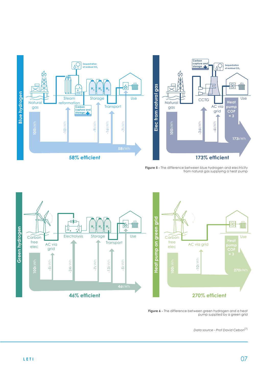



**Figure 5 -** The difference between blue hydrogen and electricity from natural gas supplying a heat pump



**Figure 6 -** The difference between green hydrogen and a heat pump supplied by a green grid

*Data source - Prof David Cebon*[7]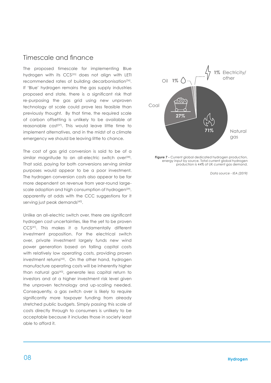## Timescale and finance

The proposed timescale for implementing Blue hydrogen with its CCS[35] does not align with LETI recommended rates of building decarbonisation<sup>[36]</sup>. If 'Blue' hydrogen remains the gas supply industries proposed end state, there is a significant risk that re-purposing the gas grid using new unproven technology at scale could prove less feasible than previously thought. By that time, the required scale of carbon offsetting is unlikely to be available at reasonable cost<sup>[37]</sup>. This would leave little time to implement alternatives, and in the midst of a climate emergency we should be leaving little to chance.

The cost of gas grid conversion is said to be of a similar magnitude to an all-electric switch over<sup>[38]</sup>. That said, paying for both conversions serving similar purposes would appear to be a poor investment. The hydrogen conversion costs also appear to be far more dependent on revenue from year-round largescale adoption and high consumption of hydrogen<sup>[39]</sup>, apparently at odds with the CCC suggestions for it serving just peak demands[40].

Unlike an all-electric switch over, there are significant hydrogen cost uncertainties, like the yet to be proven CCS[41]. This makes it a fundamentally different investment proposition. For the electrical switch over, private investment largely funds new wind power generation based on falling capital costs with relatively low operating costs, providing proven investment returns<sup>[42]</sup>. On the other hand, hydrogen manufacture operating costs will be inherently higher than natural gas<sup>[43]</sup>, generate less capital return to investors and at a higher investment risk level given the unproven technology and up-scaling needed. Consequently, a gas switch over is likely to require significantly more taxpayer funding from already stretched public budgets. Simply passing this scale of costs directly through to consumers is unlikely to be acceptable because it includes those in society least able to afford it.



**Figure 7 -** Current global dedicated hydrogen production, energy input by source. Total current global hydrogen production is 44% of UK current gas demand.

*Data source - IEA (2019)*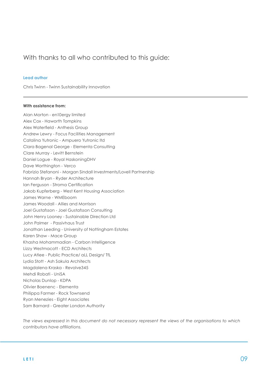## With thanks to all who contributed to this guide:

#### **Lead author**

Chris Twinn - Twinn Sustainability Innovation

#### **With assistance from:**

Alan Morton - en10ergy limited Alex Cox - Haworth Tompkins Alex Waterfield - Anthesis Group Andrew Lewry - Focus Facilities Management Catalina Yutronic - Ampuero Yutronic ltd Clara Bagenal George - Elementa Consulting Clare Murray - Levitt Bernstein Daniel Logue - Royal HaskoningDHV Dave Worthington - Verco Fabrizio Stefanoni - Morgan Sindall Investments/Lovell Partnership Hannah Bryan - Ryder Architecture Ian Ferguson - Stroma Certification Jakob Kupferberg - West Kent Housing Association James Warne - WMEboom James Woodall - Allies and Morrison Joel Gustafsson - Joel Gustafsson Consulting John Henry Looney - Sustainable Direction Ltd John Palmer - Passivhaus Trust Jonathan Leeding - University of Nottingham Estates Karen Shaw - Mace Group Khasha Mohammadian - Carbon Intelligence Lizzy Westmacott - ECD Architects Lucy Atlee - Public Practice/ aLL Design/ TfL Lydia Stott - Ash Sakula Architects Magdalena Kraska - Revolve345 Mehdi Robati - UniSA Nicholas Dunlop - KDPA Olivier Boenenc - Elementa Philippa Farmer - Rock Townsend Ryan Menezies - Eight Associates Sam Barnard - Greater London Authority

*The views expressed in this document do not necessary represent the views of the organisations to which contributors have affiliations.*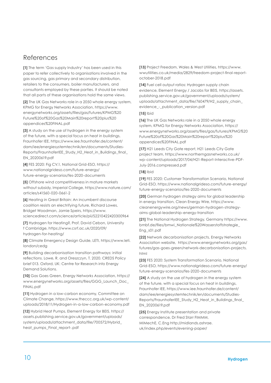## References

**[1]** The term 'Gas supply Industry' has been used in this paper to refer collectively to organisations involved in the gas sourcing, gas primary and secondary distribution, retailers to the consumers, boiler manufacturers, and consultants employed by these parties. It should be noted that all parts of these organisations hold the same views.

**[2]** The UK Gas Networks role in a 2050 whole energy system, KPMG for Energy Networks Association, https://www. energynetworks.org/assets/files/gas/futures/KPMG%20 Future%20of%20Gas%20Main%20report%20plus%20 appendices%20FINAL.pdf

**[3]** A study on the use of hydrogen in the energy system of the future, with a special focus on heat in buildings, Fraunhofer IEE, https://www.iee.fraunhofer.de/content/ dam/iee/energiesystemtechnik/en/documents/Studies-Reports/FraunhoferIEE\_Study\_H2\_Heat\_in\_Buildings\_final\_ EN\_20200619.pdf

**[4]** FES 2020: Fig CV.1, National Grid-ESO, https:// www.nationalgrideso.com/future-energy/ future-energy-scenarios/fes-2020-documents

**[5]** Offshore wind competitiveness in mature markets without subsidy, Imperial College, https://www.nature.com/ articles/s41560-020-0661-2

**[6]** Heating in Great Britain: An incumbent discourse coalition resists an electrifying future, Richard Lowes, Bridget Woodman, Jamie Speirs, https://www. sciencedirect.com/science/article/pii/S2210422420300964

**[7]** Hydrogen for Heating?, Prof. David Cebon, University f Cambridge, https://www.csrf.ac.uk/2020/09/ hydrogen-for-heating/

**[8]** Climate Emergency Design Guide, LETI, https://www.leti. london/cedg

**[9]** Building decarbonisation transition pathways: initial reflections. Lowe, R. and Oreszczyn, T. 2020. CREDS Policy brief 013. Oxford, UK: Centre for Research into Energy Demand Solutions.

**[10]** Gas Goes Green, Energy Networks Association, https:// www.energynetworks.org/assets/files/GGG\_Launch\_Doc\_ FINAL.pdf

**[11]** Hydrogen in a low-carbon economy, Committee on Climate Change, https://www.theccc.org.uk/wp-content/ uploads/2018/11/Hydrogen-in-a-low-carbon-economy.pdf

**[12]** Hybrid Heat Pumps, Element Energy for BEIS, https:// assets.publishing.service.gov.uk/government/uploads/ system/uploads/attachment\_data/file/700572/Hybrid\_ heat\_pumps\_Final\_report-.pdf

**[13]** Project Freedom, Wales & West Utilities, https://www. wwutilities.co.uk/media/2829/freedom-project-final-reportoctober-2018.pdf

**[14]** Fuel cell output ratios: Hydrogen supply chain evidence, Element Energy / Jacobs for BEIS, https://assets. publishing.service.gov.uk/government/uploads/system/ uploads/attachment\_data/file/760479/H2\_supply\_chain\_ evidence\_-\_publication\_version.pdf

#### **[15]** Ibid

**[16]** The UK Gas Networks role in a 2050 whole energy system, KPMG for Energy Networks Association, https:// www.energynetworks.org/assets/files/gas/futures/KPMG%20 Future%20of%20Gas%20Main%20report%20plus%20 appendices%20FINAL.pdf

**[17]** H21 Leeds City Gate report, H21 Leeds City Gate project team, https://www.northerngasnetworks.co.uk/ wp-content/uploads/2017/04/H21-Report-Interactive-PDF-July-2016.compressed.pdf

#### **[18]** Ibid

**[19]** FES 2020: Customer Transformation Scenario, National Grid-ESO, https://www.nationalgrideso.com/future-energy/ future-energy-scenarios/fes-2020-documents

**[20]** German hydrogen strategy aims for global leadership in energy transition, Clean Energy Wire, https://www. cleanenergywire.org/news/german-hydrogen-strategyaims-global-leadership-energy-transition

**[21]** The National Hydrogen Strategy, Germany https://www. bmbf.de/files/bmwi\_Nationale%20Wasserstoffstrategie\_ Eng\_s01.pdf

**[22]** Network decarbonisation projects, Energy Networks Association website, https://www.energynetworks.org/gas/ futures/gas-goes-green/network-decarbonisation-projects. html

**[23]** FES 2020: System Transformation Scenario, National Grid-ESO, https://www.nationalgrideso.com/future-energy/ future-energy-scenarios/fes-2020-documents

**[24]** A study on the use of hydrogen in the energy system of the future, with a special focus on heat in buildings, Fraunhofer IEE, https://www.iee.fraunhofer.de/content/ dam/iee/energiesystemtechnik/en/documents/Studies-Reports/FraunhoferIEE\_Study\_H2\_Heat\_in\_Buildings\_final\_ EN\_20200619.pdf

**[25]** Energy Institute presentation and private correspondence, Dr Fred Starr FIMMM, MIMechE, C.Eng http://midlands.ashrae. uk/index.php/events/evening-paper/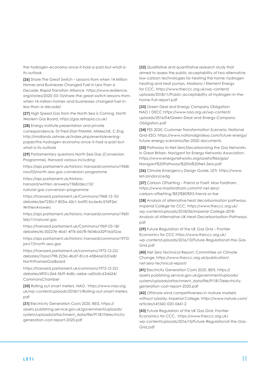the-hydrogen-economy-once-it-had-a-past-but-what-isits-outlook

**[26]** Share The Great Switch – Lessons from when 14 Million Homes and Businesses Changed Fuel in Less than a Decade, Rapid Transition Alliance https://www.resilience. org/stories/2020-03-10/share-the-great-switch-lessons-fromwhen-14-million-homes-and-businesses-changed-fuel-inless-than-a-decade/

**[27]** High Speed Gas from the North Sea is Coming, North Western Gas Board, https://gas.retropia.co.uk/

**[28]** Energy Institute presentation and private correspondence, Dr Fred Starr FIMMM, MIMechE, C.Eng http://midlands.ashrae.uk/index.php/events/eveningpaper/the-hydrogen-economy-once-it-had-a-past-butwhat-is-its-outlook

**[29]** Parliamentary questions North Sea Gas (Conversion Programme), Hansard various including:

https://api.parliament.uk/historic-hansard/commons/1968/ nov/05/north-sea-gas-conversion-programme

https://api.parliament.uk/historichansard/written-answers/1968/dec/10/ natural-gas-conversion-programme

https://hansard.parliament.uk/Commons/1968-12-10/ debates/6e7250c7-803a-42c1-ba90-bc6e4c57d92e/ WrittenAnswers

https://api.parliament.uk/historic-hansard/commons/1969/ feb/11/natural-gas

https://hansard.parliament.uk/Commons/1969-03-18/ debates/4c30227e-4b61-4f76-bb78-f604ba32916d/Gas

https://api.parliament.uk/historic-hansard/commons/1972/ jan/17/north-sea-gas

https://hansard.parliament.uk/commons/1972-12-22/ debates/7aaa1798-223a-4bd7-81cd-4384a61b51e8/ NorthThamesGasBoard

https://hansard.parliament.uk/commons/1972-12-22/ debates/4931c264-5bff-4a8c-aebe-a60a3c63d624/ CommonsChamber

**[30]** Rolling out smart meters, NAO, https://www.nao.org. uk/wp-content/uploads/2018/11/Rolling-out-smart-meters. pdf

**[31]** Electricity Generation Costs 2020, BEIS, https:// assets.publishing.service.gov.uk/government/uploads/ system/uploads/attachment\_data/file/911817/electricitygeneration-cost-report-2020.pdf

**[32]** Qualitative and quantitative research study that aimed to assess the public acceptability of two alternative low-carbon technologies for heating the home: hydrogen heating and heat pumps, Madano / Element Energy for CCC, https://www.theccc.org.uk/wp-content/ uploads/2018/11/Public-acceptability-of-hydrogen-in-thehome-Full-report.pdf

**[33]** Green Deal and Energy Company Obligation, NAO / DECC https://www.nao.org.uk/wp-content/ uploads/2016/04/Green-Deal-and-Energy-Company-Obligation.pdf

**[34]** FES 2020: Customer Transformation Scenario, National Grid-ESO, https://www.nationalgrideso.com/future-energy/ future-energy-scenarios/fes-2020-documents

**[35]** Pathways to Net-Zero:Decarbonising the Gas Networks in Great Britain, Navigant for Energy Networks Association, https://www.energynetworks.org/assets/files/gas/ Navigant%20Pathways%20to%20Net-Zero.pdf

**[36]** Climate Emergency Design Guide, LETI, https://www. leti.london/cedg

**[37]** Carbon Offsetting – Friend or Foe?, Max Fordham, https://www.maxfordham.com/mf-net-zero/ carbon-offsetting-%E2%80%93-friend-or-foe

**[38]** Analysis of alternative heat decarbonisation pathways, Imperial College for CCC, https://www.theccc.org.uk/ wp-content/uploads/2018/06/Imperial-College-2018- Analysis-of-Alternative-UK-Heat-Decarbonisation-Pathways. pdf

**[39]** Future Regulation of the UK Gas Grid – Frontier Economics for CCC https://www.theccc.org.uk/ wp-content/uploads/2016/10/Future-Regulationof-the-Gas-Grid.pdf

**[40]** Net Zero Technical Report, Committee on Climate Change, https://www.theccc.org.uk/publication/ net-zero-technical-report/

**[41]** Electricity Generation Costs 2020, BEIS, https:// assets.publishing.service.gov.uk/government/uploads/ system/uploads/attachment\_data/file/911817/electricitygeneration-cost-report-2020.pdf

**[42]** Offshore wind competitiveness in mature markets without subsidy, Imperial College, https://www.nature.com/ articles/s41560-020-0661-2

**[43]** Future Regulation of the UK Gas Grid, Frontier Economics for CCC, https://www.theccc.org.uk/ wp-content/uploads/2016/10/Future-Regulationof-the-Gas-Grid.pdf